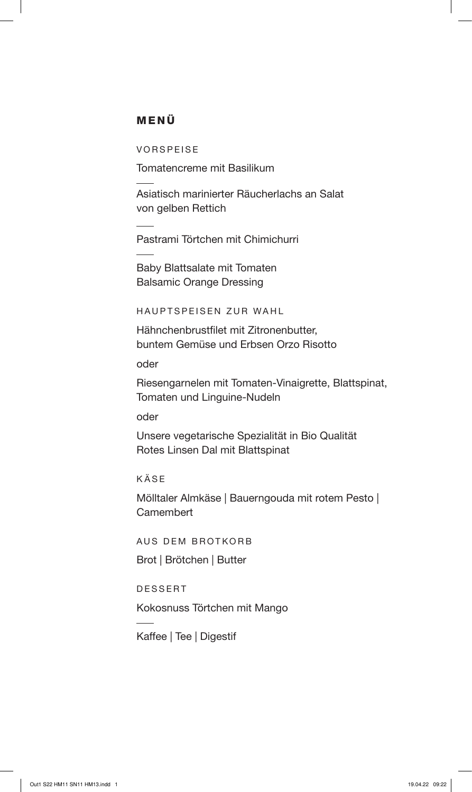### MENÜ

VORSPEISE

Tomatencreme mit Basilikum

Asiatisch marinierter Räucherlachs an Salat von gelben Rettich

Pastrami Törtchen mit Chimichurri

Baby Blattsalate mit Tomaten Balsamic Orange Dressing

HAUPTSPEISEN ZUR WAHL

Hähnchenbrustfilet mit Zitronenbutter, buntem Gemüse und Erbsen Orzo Risotto

oder

Riesengarnelen mit Tomaten-Vinaigrette, Blattspinat, Tomaten und Linguine-Nudeln

oder

Unsere vegetarische Spezialität in Bio Qualität Rotes Linsen Dal mit Blattspinat

KÄSE

Mölltaler Almkäse | Bauerngouda mit rotem Pesto | **Camembert** 

AUS DEM BROTKORB

Brot | Brötchen | Butter

DESSERT

Kokosnuss Törtchen mit Mango

Kaffee | Tee | Digestif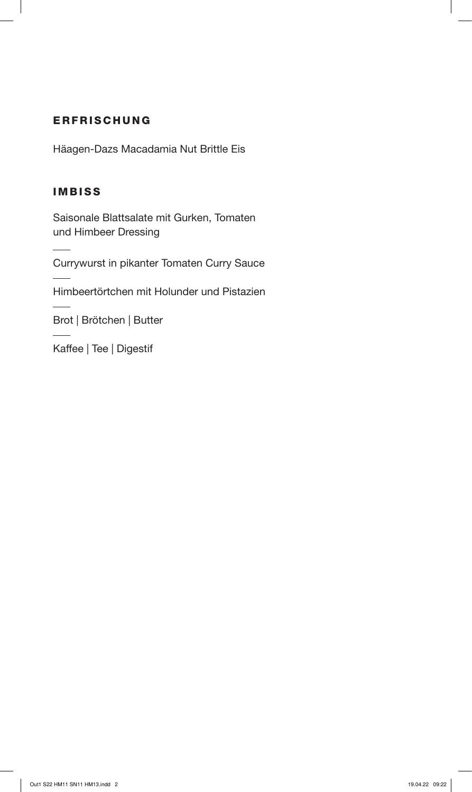# ERFRISCHUNG

Häagen-Dazs Macadamia Nut Brittle Eis

# IMBISS

Saisonale Blattsalate mit Gurken, Tomaten und Himbeer Dressing

Currywurst in pikanter Tomaten Curry Sauce

Himbeertörtchen mit Holunder und Pistazien

Brot | Brötchen | Butter

Kaffee | Tee | Digestif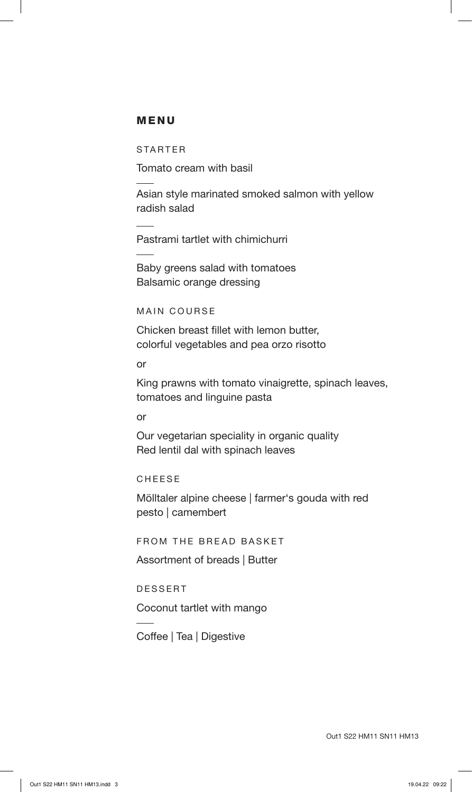#### MENU

STARTER

Tomato cream with basil

Asian style marinated smoked salmon with yellow radish salad

Pastrami tartlet with chimichurri

Baby greens salad with tomatoes Balsamic orange dressing

MAIN COURSE

Chicken breast fillet with lemon butter, colorful vegetables and pea orzo risotto

or

King prawns with tomato vinaigrette, spinach leaves, tomatoes and linguine pasta

or

Our vegetarian speciality in organic quality Red lentil dal with spinach leaves

CHEESE

Mölltaler alpine cheese | farmer's gouda with red pesto | camembert

FROM THE BREAD BASKET

Assortment of breads | Butter

DESSERT

Coconut tartlet with mango

Coffee | Tea | Digestive

Out1 S22 HM11 SN11 HM13